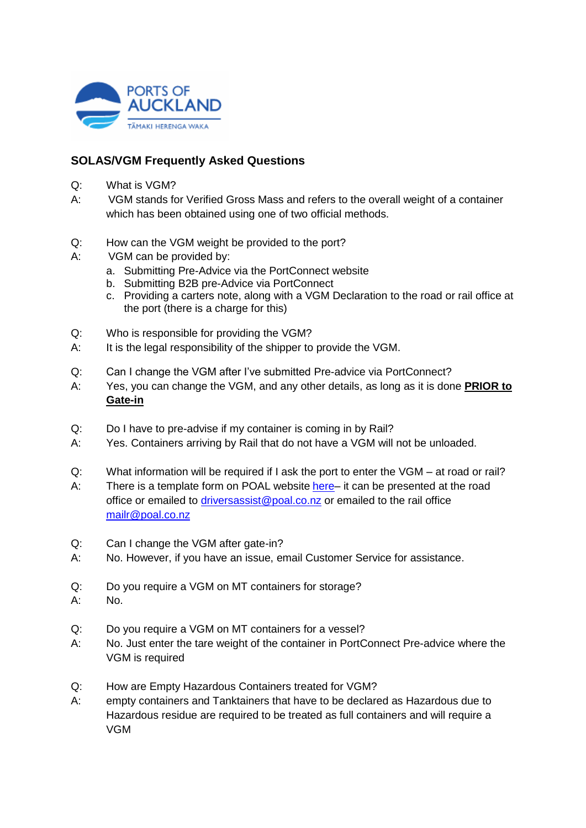

## **SOLAS/VGM Frequently Asked Questions**

- Q: What is VGM?
- A: VGM stands for Verified Gross Mass and refers to the overall weight of a container which has been obtained using one of two official methods.
- Q: How can the VGM weight be provided to the port?
- A: VGM can be provided by:
	- a. Submitting Pre-Advice via the PortConnect website
	- b. Submitting B2B pre-Advice via PortConnect
	- c. Providing a carters note, along with a VGM Declaration to the road or rail office at the port (there is a charge for this)
- Q: Who is responsible for providing the VGM?
- A: It is the legal responsibility of the shipper to provide the VGM.
- Q: Can I change the VGM after I've submitted Pre-advice via PortConnect?
- A: Yes, you can change the VGM, and any other details, as long as it is done **PRIOR to Gate-in**
- Q: Do I have to pre-advise if my container is coming in by Rail?
- A: Yes. Containers arriving by Rail that do not have a VGM will not be unloaded.
- Q: What information will be required if I ask the port to enter the VGM at road or rail?
- A: There is a template form on POAL website [here–](http://www.poal.co.nz/ops-information/Documents/VGM%20Declaration%20Template.docx) it can be presented at the road office or emailed to [driversassist@poal.co.nz](mailto:driversassist@poal.co.nz) or emailed to the rail office mailr@poal.co.nz
- Q: Can I change the VGM after gate-in?
- A: No. However, if you have an issue, email Customer Service for assistance.
- Q: Do you require a VGM on MT containers for storage?
- A: No.
- Q: Do you require a VGM on MT containers for a vessel?
- A: No. Just enter the tare weight of the container in PortConnect Pre-advice where the VGM is required
- Q: How are Empty Hazardous Containers treated for VGM?
- A: empty containers and Tanktainers that have to be declared as Hazardous due to Hazardous residue are required to be treated as full containers and will require a VGM